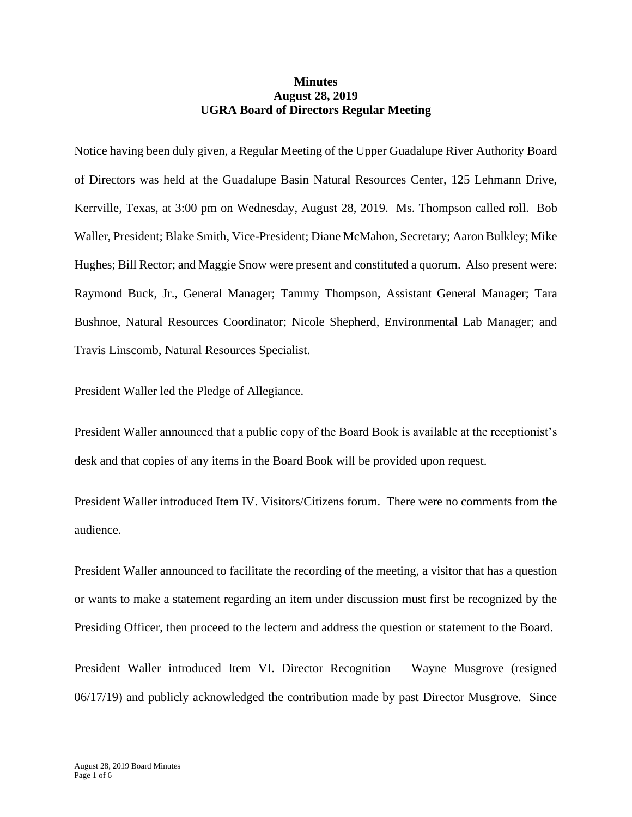## **Minutes August 28, 2019 UGRA Board of Directors Regular Meeting**

Notice having been duly given, a Regular Meeting of the Upper Guadalupe River Authority Board of Directors was held at the Guadalupe Basin Natural Resources Center, 125 Lehmann Drive, Kerrville, Texas, at 3:00 pm on Wednesday, August 28, 2019. Ms. Thompson called roll. Bob Waller, President; Blake Smith, Vice-President; Diane McMahon, Secretary; Aaron Bulkley; Mike Hughes; Bill Rector; and Maggie Snow were present and constituted a quorum. Also present were: Raymond Buck, Jr., General Manager; Tammy Thompson, Assistant General Manager; Tara Bushnoe, Natural Resources Coordinator; Nicole Shepherd, Environmental Lab Manager; and Travis Linscomb, Natural Resources Specialist.

President Waller led the Pledge of Allegiance.

President Waller announced that a public copy of the Board Book is available at the receptionist's desk and that copies of any items in the Board Book will be provided upon request.

President Waller introduced Item IV. Visitors/Citizens forum. There were no comments from the audience.

President Waller announced to facilitate the recording of the meeting, a visitor that has a question or wants to make a statement regarding an item under discussion must first be recognized by the Presiding Officer, then proceed to the lectern and address the question or statement to the Board.

President Waller introduced Item VI. Director Recognition – Wayne Musgrove (resigned 06/17/19) and publicly acknowledged the contribution made by past Director Musgrove. Since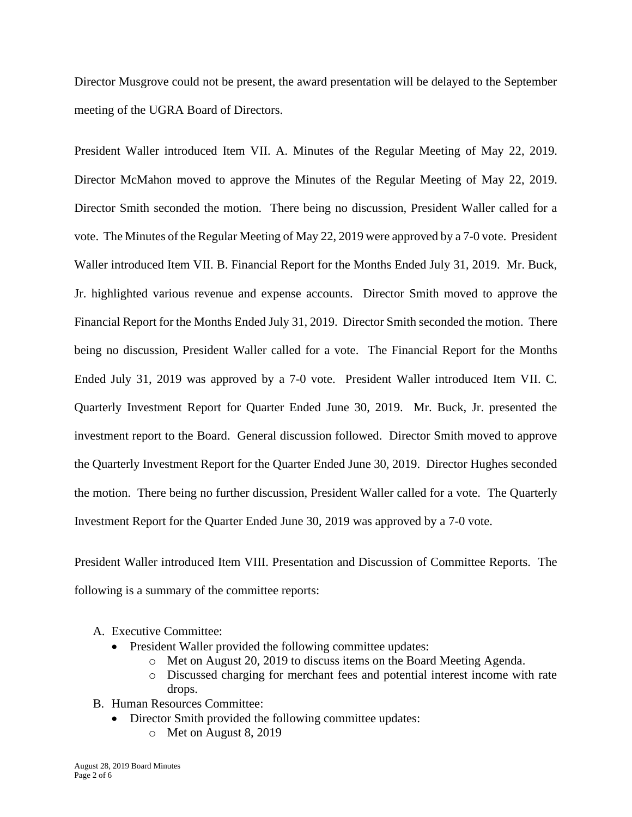Director Musgrove could not be present, the award presentation will be delayed to the September meeting of the UGRA Board of Directors.

President Waller introduced Item VII. A. Minutes of the Regular Meeting of May 22, 2019. Director McMahon moved to approve the Minutes of the Regular Meeting of May 22, 2019. Director Smith seconded the motion. There being no discussion, President Waller called for a vote. The Minutes of the Regular Meeting of May 22, 2019 were approved by a 7-0 vote. President Waller introduced Item VII. B. Financial Report for the Months Ended July 31, 2019. Mr. Buck, Jr. highlighted various revenue and expense accounts. Director Smith moved to approve the Financial Report for the Months Ended July 31, 2019. Director Smith seconded the motion. There being no discussion, President Waller called for a vote. The Financial Report for the Months Ended July 31, 2019 was approved by a 7-0 vote. President Waller introduced Item VII. C. Quarterly Investment Report for Quarter Ended June 30, 2019. Mr. Buck, Jr. presented the investment report to the Board. General discussion followed. Director Smith moved to approve the Quarterly Investment Report for the Quarter Ended June 30, 2019. Director Hughes seconded the motion. There being no further discussion, President Waller called for a vote. The Quarterly Investment Report for the Quarter Ended June 30, 2019 was approved by a 7-0 vote.

President Waller introduced Item VIII. Presentation and Discussion of Committee Reports. The following is a summary of the committee reports:

- A. Executive Committee:
	- President Waller provided the following committee updates:
		- o Met on August 20, 2019 to discuss items on the Board Meeting Agenda.
		- o Discussed charging for merchant fees and potential interest income with rate drops.
- B. Human Resources Committee:
	- Director Smith provided the following committee updates:
		- o Met on August 8, 2019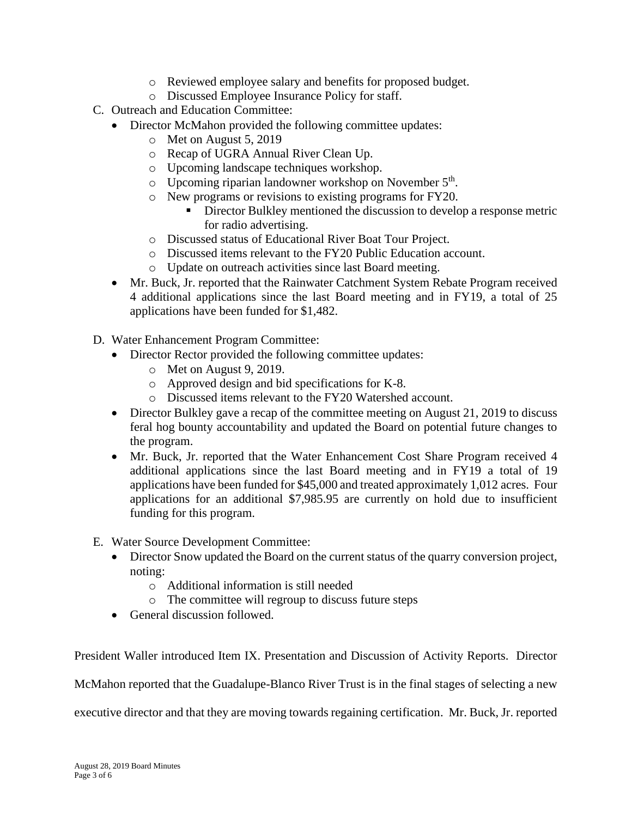- o Reviewed employee salary and benefits for proposed budget.
- o Discussed Employee Insurance Policy for staff.
- C. Outreach and Education Committee:
	- Director McMahon provided the following committee updates:
		- o Met on August 5, 2019
		- o Recap of UGRA Annual River Clean Up.
		- o Upcoming landscape techniques workshop.
		- $\circ$  Upcoming riparian landowner workshop on November  $5<sup>th</sup>$ .
		- o New programs or revisions to existing programs for FY20.
			- **EXECUTE:** Director Bulkley mentioned the discussion to develop a response metric for radio advertising.
		- o Discussed status of Educational River Boat Tour Project.
		- o Discussed items relevant to the FY20 Public Education account.
		- o Update on outreach activities since last Board meeting.
	- Mr. Buck, Jr. reported that the Rainwater Catchment System Rebate Program received 4 additional applications since the last Board meeting and in FY19, a total of 25 applications have been funded for \$1,482.
- D. Water Enhancement Program Committee:
	- Director Rector provided the following committee updates:
		- o Met on August 9, 2019.
		- o Approved design and bid specifications for K-8.
		- o Discussed items relevant to the FY20 Watershed account.
	- Director Bulkley gave a recap of the committee meeting on August 21, 2019 to discuss feral hog bounty accountability and updated the Board on potential future changes to the program.
	- Mr. Buck, Jr. reported that the Water Enhancement Cost Share Program received 4 additional applications since the last Board meeting and in FY19 a total of 19 applications have been funded for \$45,000 and treated approximately 1,012 acres. Four applications for an additional \$7,985.95 are currently on hold due to insufficient funding for this program.
- E. Water Source Development Committee:
	- Director Snow updated the Board on the current status of the quarry conversion project, noting:
		- o Additional information is still needed
		- o The committee will regroup to discuss future steps
	- General discussion followed.

President Waller introduced Item IX. Presentation and Discussion of Activity Reports. Director

McMahon reported that the Guadalupe-Blanco River Trust is in the final stages of selecting a new

executive director and that they are moving towards regaining certification. Mr. Buck, Jr. reported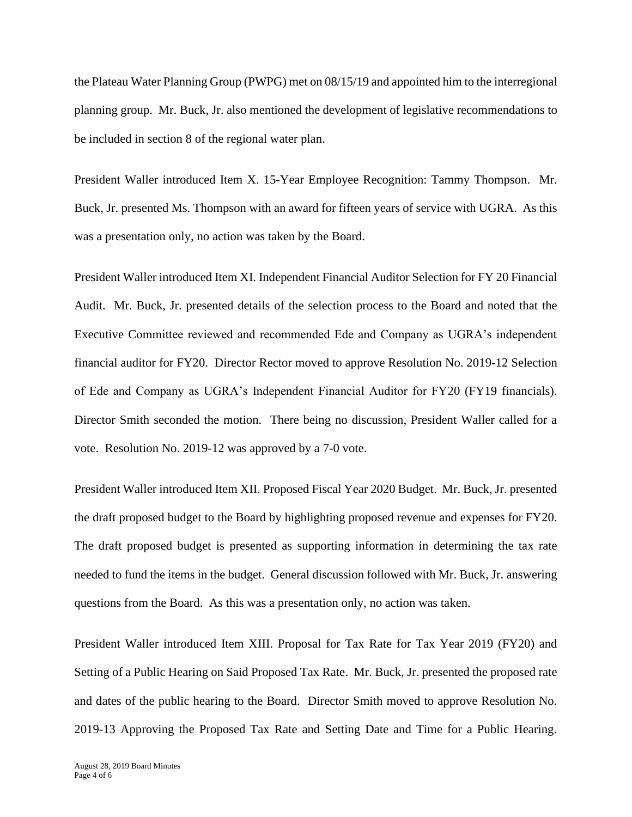the Plateau Water Planning Group (PWPG) met on 08/15/19 and appointed him to the interregional planning group. Mr. Buck, Jr. also mentioned the development of legislative recommendations to be included in section 8 of the regional water plan.

President Waller introduced Item X. 15-Year Employee Recognition: Tammy Thompson. Mr. Buck, Jr. presented Ms. Thompson with an award for fifteen years of service with UGRA. As this was a presentation only, no action was taken by the Board.

President Waller introduced Item XI. Independent Financial Auditor Selection for FY 20 Financial Audit. Mr. Buck, Jr. presented details of the selection process to the Board and noted that the Executive Committee reviewed and recommended Ede and Company as UGRA's independent financial auditor for FY20. Director Rector moved to approve Resolution No. 2019-12 Selection of Ede and Company as UGRA's Independent Financial Auditor for FY20 (FY19 financials). Director Smith seconded the motion. There being no discussion, President Waller called for a vote. Resolution No. 2019-12 was approved by a 7-0 vote.

President Waller introduced Item XII. Proposed Fiscal Year 2020 Budget. Mr. Buck, Jr. presented the draft proposed budget to the Board by highlighting proposed revenue and expenses for FY20. The draft proposed budget is presented as supporting information in determining the tax rate needed to fund the items in the budget. General discussion followed with Mr. Buck, Jr. answering questions from the Board. As this was a presentation only, no action was taken.

President Waller introduced Item XIII. Proposal for Tax Rate for Tax Year 2019 (FY20) and Setting of a Public Hearing on Said Proposed Tax Rate. Mr. Buck, Jr. presented the proposed rate and dates of the public hearing to the Board. Director Smith moved to approve Resolution No. 2019-13 Approving the Proposed Tax Rate and Setting Date and Time for a Public Hearing.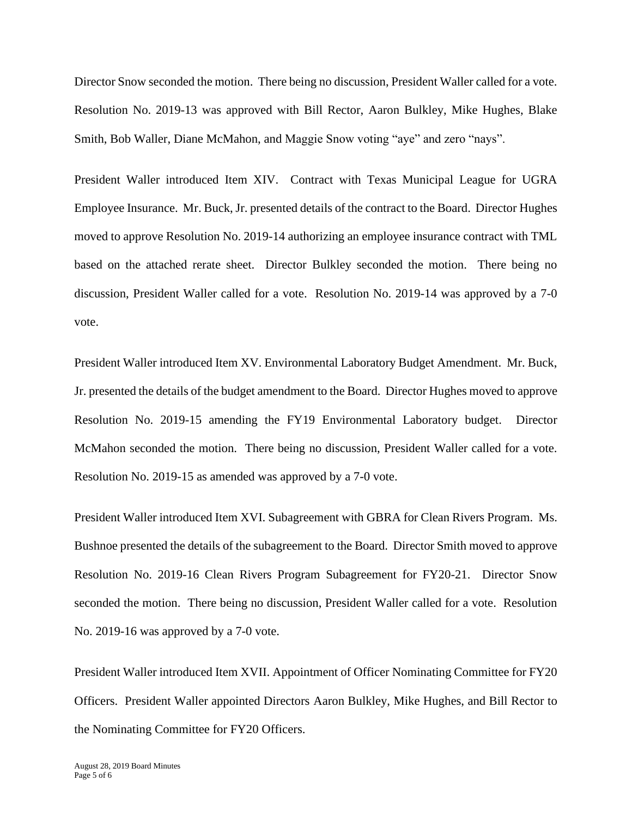Director Snow seconded the motion. There being no discussion, President Waller called for a vote. Resolution No. 2019-13 was approved with Bill Rector, Aaron Bulkley, Mike Hughes, Blake Smith, Bob Waller, Diane McMahon, and Maggie Snow voting "aye" and zero "nays".

President Waller introduced Item XIV. Contract with Texas Municipal League for UGRA Employee Insurance. Mr. Buck, Jr. presented details of the contract to the Board. Director Hughes moved to approve Resolution No. 2019-14 authorizing an employee insurance contract with TML based on the attached rerate sheet. Director Bulkley seconded the motion. There being no discussion, President Waller called for a vote. Resolution No. 2019-14 was approved by a 7-0 vote.

President Waller introduced Item XV. Environmental Laboratory Budget Amendment. Mr. Buck, Jr. presented the details of the budget amendment to the Board. Director Hughes moved to approve Resolution No. 2019-15 amending the FY19 Environmental Laboratory budget. Director McMahon seconded the motion. There being no discussion, President Waller called for a vote. Resolution No. 2019-15 as amended was approved by a 7-0 vote.

President Waller introduced Item XVI. Subagreement with GBRA for Clean Rivers Program. Ms. Bushnoe presented the details of the subagreement to the Board. Director Smith moved to approve Resolution No. 2019-16 Clean Rivers Program Subagreement for FY20-21. Director Snow seconded the motion. There being no discussion, President Waller called for a vote. Resolution No. 2019-16 was approved by a 7-0 vote.

President Waller introduced Item XVII. Appointment of Officer Nominating Committee for FY20 Officers. President Waller appointed Directors Aaron Bulkley, Mike Hughes, and Bill Rector to the Nominating Committee for FY20 Officers.